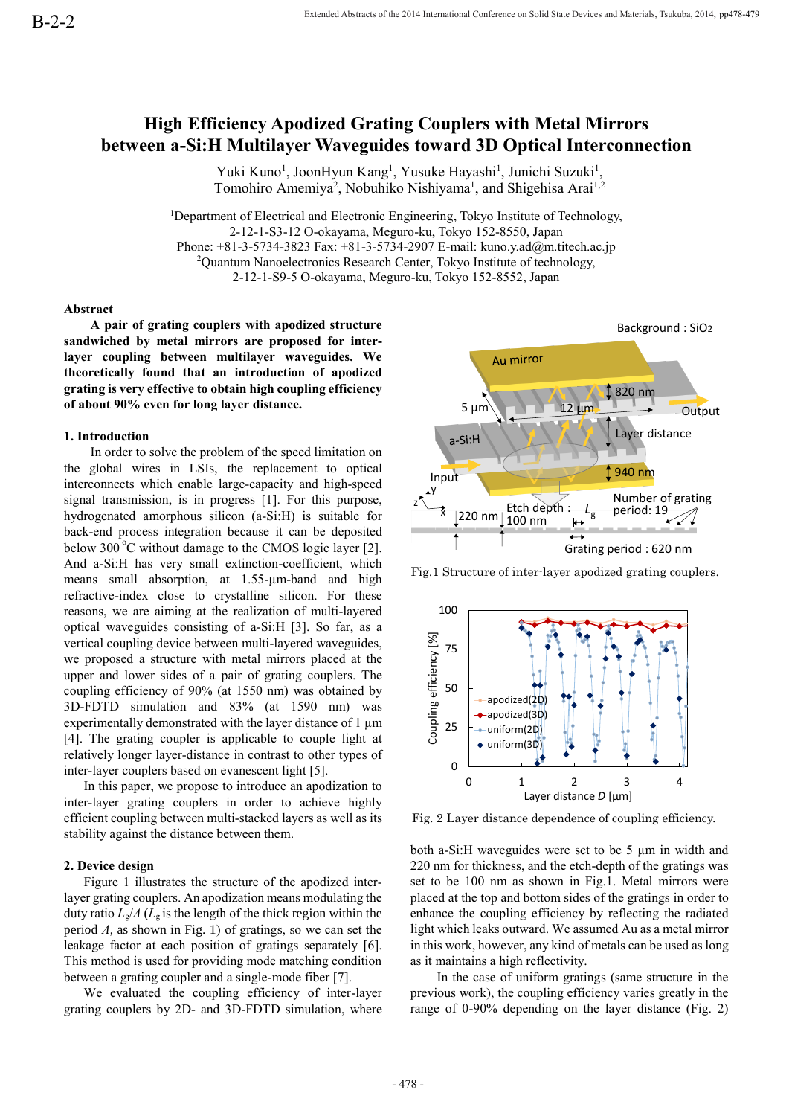# **High Efficiency Apodized Grating Couplers with Metal Mirrors between a-Si:H Multilayer Waveguides toward 3D Optical Interconnection**

Yuki Kuno<sup>1</sup>, JoonHyun Kang<sup>1</sup>, Yusuke Hayashi<sup>1</sup>, Junichi Suzuki<sup>1</sup>, Tomohiro Amemiya<sup>2</sup>, Nobuhiko Nishiyama<sup>1</sup>, and Shigehisa Arai<sup>1,2</sup>

<sup>1</sup>Department of Electrical and Electronic Engineering, Tokyo Institute of Technology, 2-12-1-S3-12 O-okayama, Meguro-ku, Tokyo 152-8550, Japan Phone: +81-3-5734-3823 Fax: +81-3-5734-2907 E-mail: kuno.y.ad@m.titech.ac.jp <sup>2</sup>Quantum Nanoelectronics Research Center, Tokyo Institute of technology, 2-12-1-S9-5 O-okayama, Meguro-ku, Tokyo 152-8552, Japan

### **Abstract**

**A pair of grating couplers with apodized structure sandwiched by metal mirrors are proposed for interlayer coupling between multilayer waveguides. We theoretically found that an introduction of apodized grating is very effective to obtain high coupling efficiency of about 90% even for long layer distance.**

## **1. Introduction**

In order to solve the problem of the speed limitation on the global wires in LSIs, the replacement to optical interconnects which enable large-capacity and high-speed signal transmission, is in progress [1]. For this purpose, hydrogenated amorphous silicon (a-Si:H) is suitable for back-end process integration because it can be deposited below  $300^{\circ}$ C without damage to the CMOS logic layer [2]. And a-Si:H has very small extinction-coefficient, which means small absorption, at 1.55-µm-band and high refractive-index close to crystalline silicon. For these reasons, we are aiming at the realization of multi-layered optical waveguides consisting of a-Si:H [3]. So far, as a vertical coupling device between multi-layered waveguides, we proposed a structure with metal mirrors placed at the upper and lower sides of a pair of grating couplers. The coupling efficiency of 90% (at 1550 nm) was obtained by 3D-FDTD simulation and 83% (at 1590 nm) was experimentally demonstrated with the layer distance of 1  $\mu$ m [4]. The grating coupler is applicable to couple light at relatively longer layer-distance in contrast to other types of inter-layer couplers based on evanescent light [5].

In this paper, we propose to introduce an apodization to inter-layer grating couplers in order to achieve highly efficient coupling between multi-stacked layers as well as its stability against the distance between them.

## **2. Device design**

Figure 1 illustrates the structure of the apodized interlayer grating couplers. An apodization means modulating the duty ratio *L*g/*Λ* (*L*<sup>g</sup> is the length of the thick region within the period *Λ*, as shown in Fig. 1) of gratings, so we can set the leakage factor at each position of gratings separately [6]. This method is used for providing mode matching condition between a grating coupler and a single-mode fiber [7].

We evaluated the coupling efficiency of inter-layer grating couplers by 2D- and 3D-FDTD simulation, where



Fig.1 Structure of inter-layer apodized grating couplers.



Fig. 2 Layer distance dependence of coupling efficiency.

both a-Si:H waveguides were set to be 5 µm in width and 220 nm for thickness, and the etch-depth of the gratings was set to be 100 nm as shown in Fig.1. Metal mirrors were placed at the top and bottom sides of the gratings in order to enhance the coupling efficiency by reflecting the radiated light which leaks outward. We assumed Au as a metal mirror in this work, however, any kind of metals can be used as long as it maintains a high reflectivity.

In the case of uniform gratings (same structure in the previous work), the coupling efficiency varies greatly in the range of 0-90% depending on the layer distance (Fig. 2)